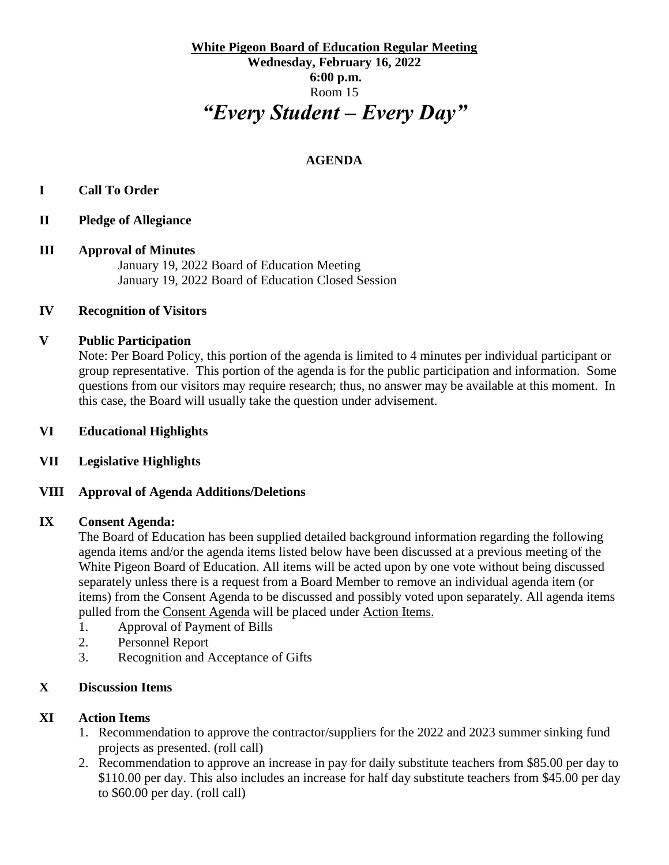**White Pigeon Board of Education Regular Meeting Wednesday, February 16, 2022 6:00 p.m.** Room 15 *"Every Student – Every Day"*

# **AGENDA**

## **I Call To Order**

**II Pledge of Allegiance** 

#### **III Approval of Minutes**

January 19, 2022 Board of Education Meeting January 19, 2022 Board of Education Closed Session

### **IV Recognition of Visitors**

### **V Public Participation**

Note: Per Board Policy, this portion of the agenda is limited to 4 minutes per individual participant or group representative. This portion of the agenda is for the public participation and information. Some questions from our visitors may require research; thus, no answer may be available at this moment. In this case, the Board will usually take the question under advisement.

### **VI Educational Highlights**

## **VII Legislative Highlights**

#### **VIII Approval of Agenda Additions/Deletions**

#### **IX Consent Agenda:**

The Board of Education has been supplied detailed background information regarding the following agenda items and/or the agenda items listed below have been discussed at a previous meeting of the White Pigeon Board of Education. All items will be acted upon by one vote without being discussed separately unless there is a request from a Board Member to remove an individual agenda item (or items) from the Consent Agenda to be discussed and possibly voted upon separately. All agenda items pulled from the Consent Agenda will be placed under Action Items.

- 1. Approval of Payment of Bills
- 2. Personnel Report
- 3. Recognition and Acceptance of Gifts

## **X Discussion Items**

## **XI Action Items**

- 1. Recommendation to approve the contractor/suppliers for the 2022 and 2023 summer sinking fund projects as presented. (roll call)
- 2. Recommendation to approve an increase in pay for daily substitute teachers from \$85.00 per day to \$110.00 per day. This also includes an increase for half day substitute teachers from \$45.00 per day to \$60.00 per day. (roll call)